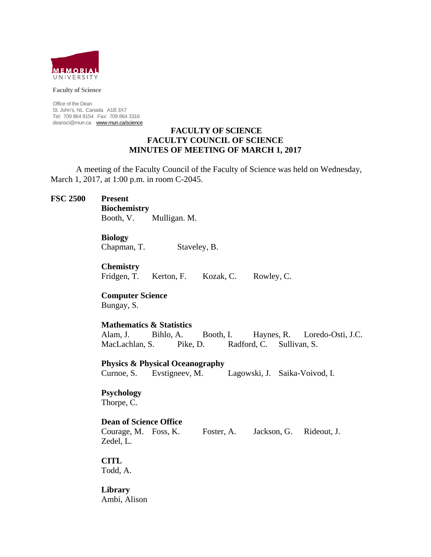

**Faculty of Science** 

Office of the Dean St. John's, NL Canada A1B 3X7 Tel: 709 864 8154 Fax: 709 864 3316 deansci@mun.ca www.mun.ca/science

## **FACULTY OF SCIENCE FACULTY COUNCIL OF SCIENCE MINUTES OF MEETING OF MARCH 1, 2017**

 A meeting of the Faculty Council of the Faculty of Science was held on Wednesday, March 1, 2017, at 1:00 p.m. in room C-2045.

#### **FSC 2500 Present**

 **Biochemistry** Booth, V. Mulligan. M.

# **Biology**

Chapman, T. Staveley, B.

**Chemistry**

Fridgen, T. Kerton, F. Kozak, C. Rowley, C.

 **Computer Science** Bungay, S.

# **Mathematics & Statistics**

 Alam, J. Bihlo, A. Booth, I. Haynes, R. Loredo-Osti, J.C. MacLachlan, S. Pike, D. Radford, C. Sullivan, S.

**Physics & Physical Oceanography**

Curnoe, S. Evstigneev, M. Lagowski, J. Saika-Voivod, I.

# **Psychology**

Thorpe, C.

# **Dean of Science Office**

 Courage, M. Foss, K. Foster, A. Jackson, G. Rideout, J. Zedel, L.

# **CITL**

Todd, A.

**Library** Ambi, Alison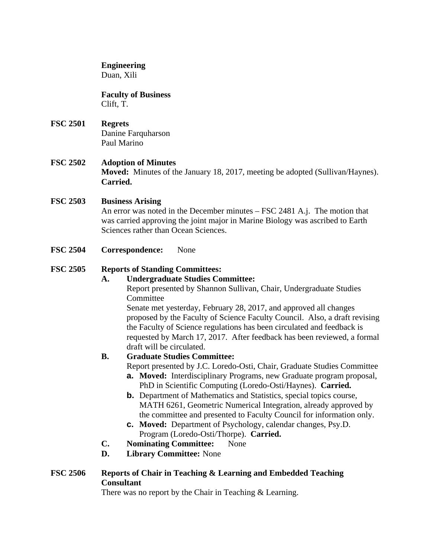# **Engineering**

Duan, Xili

# **Faculty of Business**

Clift, T.

# **FSC 2501 Regrets** Danine Farquharson Paul Marino

# **FSC 2502 Adoption of Minutes**

**Moved:** Minutes of the January 18, 2017, meeting be adopted (Sullivan/Haynes). **Carried.** 

# **FSC 2503 Business Arising**

An error was noted in the December minutes – FSC 2481 A.j. The motion that was carried approving the joint major in Marine Biology was ascribed to Earth Sciences rather than Ocean Sciences.

**FSC 2504 Correspondence:** None

# **FSC 2505 Reports of Standing Committees:**

# **A. Undergraduate Studies Committee:**

Report presented by Shannon Sullivan, Chair, Undergraduate Studies **Committee** 

Senate met yesterday, February 28, 2017, and approved all changes proposed by the Faculty of Science Faculty Council. Also, a draft revising the Faculty of Science regulations has been circulated and feedback is requested by March 17, 2017. After feedback has been reviewed, a formal draft will be circulated.

# **B. Graduate Studies Committee:**

Report presented by J.C. Loredo-Osti, Chair, Graduate Studies Committee

- **a. Moved:** Interdisciplinary Programs, new Graduate program proposal, PhD in Scientific Computing (Loredo-Osti/Haynes). **Carried.**
- **b.** Department of Mathematics and Statistics, special topics course, MATH 6261, Geometric Numerical Integration, already approved by the committee and presented to Faculty Council for information only.
- **c. Moved:** Department of Psychology, calendar changes, Psy.D. Program (Loredo-Osti/Thorpe). **Carried.**
- **C. Nominating Committee:** None
- **D. Library Committee:** None

# **FSC 2506 Reports of Chair in Teaching & Learning and Embedded Teaching Consultant**

There was no report by the Chair in Teaching & Learning.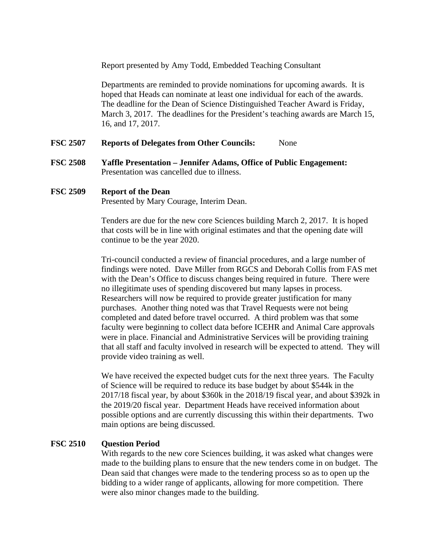Report presented by Amy Todd, Embedded Teaching Consultant

 Departments are reminded to provide nominations for upcoming awards. It is hoped that Heads can nominate at least one individual for each of the awards. The deadline for the Dean of Science Distinguished Teacher Award is Friday, March 3, 2017. The deadlines for the President's teaching awards are March 15, 16, and 17, 2017.

#### **FSC 2507 Reports of Delegates from Other Councils:** None

**FSC 2508 Yaffle Presentation – Jennifer Adams, Office of Public Engagement:** Presentation was cancelled due to illness.

#### **FSC 2509 Report of the Dean**

Presented by Mary Courage, Interim Dean.

Tenders are due for the new core Sciences building March 2, 2017. It is hoped that costs will be in line with original estimates and that the opening date will continue to be the year 2020.

Tri-council conducted a review of financial procedures, and a large number of findings were noted. Dave Miller from RGCS and Deborah Collis from FAS met with the Dean's Office to discuss changes being required in future. There were no illegitimate uses of spending discovered but many lapses in process. Researchers will now be required to provide greater justification for many purchases. Another thing noted was that Travel Requests were not being completed and dated before travel occurred. A third problem was that some faculty were beginning to collect data before ICEHR and Animal Care approvals were in place. Financial and Administrative Services will be providing training that all staff and faculty involved in research will be expected to attend. They will provide video training as well.

We have received the expected budget cuts for the next three years. The Faculty of Science will be required to reduce its base budget by about \$544k in the 2017/18 fiscal year, by about \$360k in the 2018/19 fiscal year, and about \$392k in the 2019/20 fiscal year. Department Heads have received information about possible options and are currently discussing this within their departments. Two main options are being discussed.

# **FSC 2510 Question Period**

With regards to the new core Sciences building, it was asked what changes were made to the building plans to ensure that the new tenders come in on budget. The Dean said that changes were made to the tendering process so as to open up the bidding to a wider range of applicants, allowing for more competition. There were also minor changes made to the building.